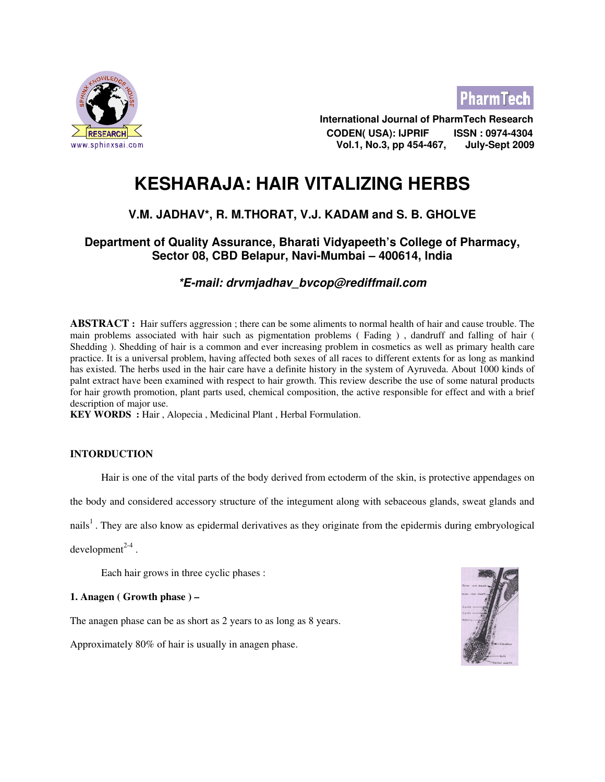



 International Journal of PharmTech Research CODEN( USA): IJPRIF ISSN : 0974-4304 www.sphinxsai.com **Exercise 2009 Vol.1, No.3, pp 454-467, and July-Sept 2009** 

# KESHARAJA: HAIR VITALIZING HERBS

# V.M. JADHAV\*, R. M.THORAT, V.J. KADAM and S. B. GHOLVE

# Department of Quality Assurance, Bharati Vidyapeeth's College of Pharmacy, Sector 08, CBD Belapur, Navi-Mumbai – 400614, India

# \*E-mail: drvmjadhav\_bvcop@rediffmail.com

**ABSTRACT** : Hair suffers aggression ; there can be some aliments to normal health of hair and cause trouble. The main problems associated with hair such as pigmentation problems ( Fading ) , dandruff and falling of hair ( Shedding ). Shedding of hair is a common and ever increasing problem in cosmetics as well as primary health care practice. It is a universal problem, having affected both sexes of all races to different extents for as long as mankind has existed. The herbs used in the hair care have a definite history in the system of Ayruveda. About 1000 kinds of palnt extract have been examined with respect to hair growth. This review describe the use of some natural products for hair growth promotion, plant parts used, chemical composition, the active responsible for effect and with a brief description of major use.

KEY WORDS : Hair , Alopecia , Medicinal Plant , Herbal Formulation.

# INTORDUCTION

Hair is one of the vital parts of the body derived from ectoderm of the skin, is protective appendages on

the body and considered accessory structure of the integument along with sebaceous glands, sweat glands and

nails<sup>1</sup>. They are also know as epidermal derivatives as they originate from the epidermis during embryological

 $d$ evelopment $^{2-4}$ .

Each hair grows in three cyclic phases :

### 1. Anagen ( Growth phase ) –

The anagen phase can be as short as 2 years to as long as 8 years.

Approximately 80% of hair is usually in anagen phase.

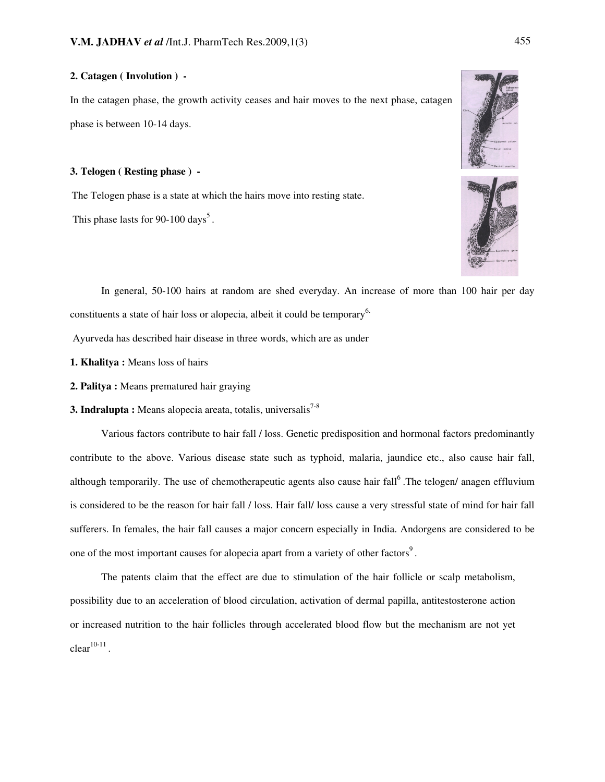# 2. Catagen ( Involution ) -

In the catagen phase, the growth activity ceases and hair moves to the next phase, catagen phase is between 10-14 days.

#### 3. Telogen ( Resting phase ) -

The Telogen phase is a state at which the hairs move into resting state.

This phase lasts for  $90-100 \text{ days}^5$ .





 In general, 50-100 hairs at random are shed everyday. An increase of more than 100 hair per day constituents a state of hair loss or alopecia, albeit it could be temporary<sup>6.</sup>

Ayurveda has described hair disease in three words, which are as under

- 1. Khalitya : Means loss of hairs
- 2. Palitya : Means prematured hair graying
- **3. Indralupta :** Means alopecia areata, totalis, universalis<sup>7-8</sup>

 Various factors contribute to hair fall / loss. Genetic predisposition and hormonal factors predominantly contribute to the above. Various disease state such as typhoid, malaria, jaundice etc., also cause hair fall, although temporarily. The use of chemotherapeutic agents also cause hair fall<sup>6</sup>. The telogen/ anagen effluvium is considered to be the reason for hair fall / loss. Hair fall/ loss cause a very stressful state of mind for hair fall sufferers. In females, the hair fall causes a major concern especially in India. Andorgens are considered to be one of the most important causes for alopecia apart from a variety of other factors<sup>9</sup>.

 The patents claim that the effect are due to stimulation of the hair follicle or scalp metabolism, possibility due to an acceleration of blood circulation, activation of dermal papilla, antitestosterone action or increased nutrition to the hair follicles through accelerated blood flow but the mechanism are not yet  $clear<sup>10-11</sup>$ .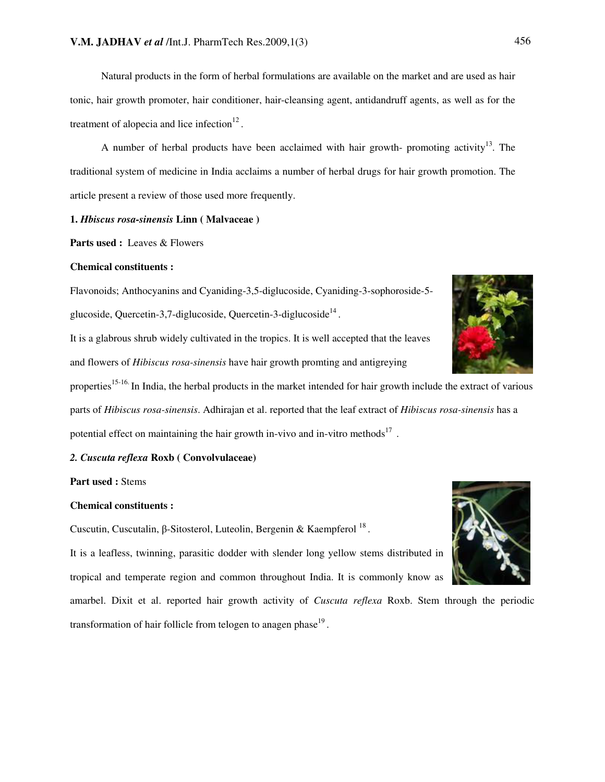Natural products in the form of herbal formulations are available on the market and are used as hair tonic, hair growth promoter, hair conditioner, hair-cleansing agent, antidandruff agents, as well as for the treatment of alopecia and lice infection $12$ .

A number of herbal products have been acclaimed with hair growth- promoting activity<sup>13</sup>. The traditional system of medicine in India acclaims a number of herbal drugs for hair growth promotion. The article present a review of those used more frequently.

#### 1. Hbiscus rosa-sinensis Linn ( Malvaceae )

Parts used : Leaves & Flowers

#### Chemical constituents :

Flavonoids; Anthocyanins and Cyaniding-3,5-diglucoside, Cyaniding-3-sophoroside-5 glucoside, Quercetin-3,7-diglucoside, Quercetin-3-diglucoside $^{14}$ .

It is a glabrous shrub widely cultivated in the tropics. It is well accepted that the leaves and flowers of Hibiscus rosa-sinensis have hair growth promting and antigreying

properties<sup>15-16.</sup> In India, the herbal products in the market intended for hair growth include the extract of various parts of Hibiscus rosa-sinensis. Adhirajan et al. reported that the leaf extract of Hibiscus rosa-sinensis has a potential effect on maintaining the hair growth in-vivo and in-vitro methods<sup>17</sup>.

# 2. Cuscuta reflexa Roxb ( Convolvulaceae)

#### Part used : Stems

#### Chemical constituents :

Cuscutin, Cuscutalin,  $\beta$ -Sitosterol, Luteolin, Bergenin & Kaempferol  $^{18}$ .

It is a leafless, twinning, parasitic dodder with slender long yellow stems distributed in tropical and temperate region and common throughout India. It is commonly know as

amarbel. Dixit et al. reported hair growth activity of *Cuscuta reflexa* Roxb. Stem through the periodic transformation of hair follicle from telogen to anagen phase<sup>19</sup>.



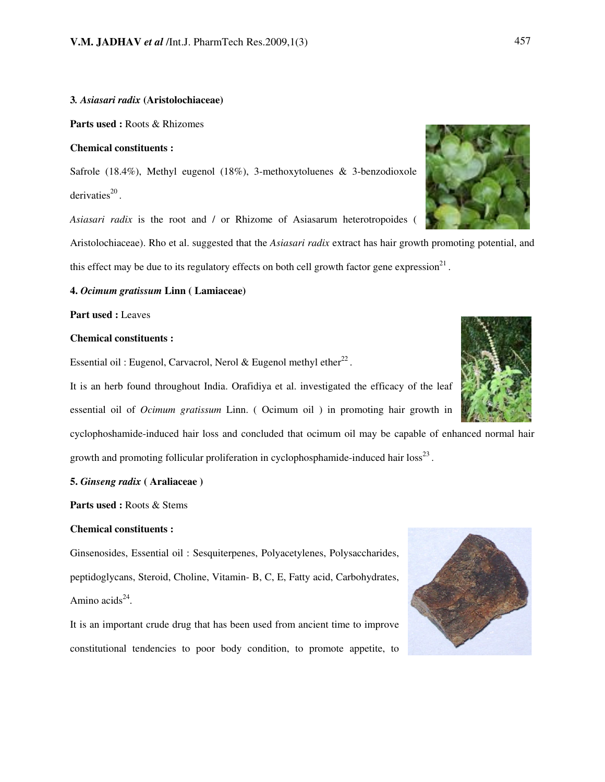#### 3. Asiasari radix (Aristolochiaceae)

Parts used : Roots & Rhizomes

#### Chemical constituents :

Safrole (18.4%), Methyl eugenol (18%), 3-methoxytoluenes & 3-benzodioxole derivaties $^{20}$ .

Asiasari radix is the root and / or Rhizome of Asiasarum heterotropoides (

Aristolochiaceae). Rho et al. suggested that the *Asiasari radix* extract has hair growth promoting potential, and this effect may be due to its regulatory effects on both cell growth factor gene expression $21$ .

#### 4. Ocimum gratissum Linn ( Lamiaceae)

Part used : Leaves

#### Chemical constituents :

Essential oil : Eugenol, Carvacrol, Nerol & Eugenol methyl ether $^{22}$ .

It is an herb found throughout India. Orafidiya et al. investigated the efficacy of the leaf essential oil of Ocimum gratissum Linn. ( Ocimum oil ) in promoting hair growth in

cyclophoshamide-induced hair loss and concluded that ocimum oil may be capable of enhanced normal hair growth and promoting follicular proliferation in cyclophosphamide-induced hair  $loss^{23}$ .

#### 5. Ginseng radix ( Araliaceae )

Parts used : Roots & Stems

#### Chemical constituents :

Ginsenosides, Essential oil : Sesquiterpenes, Polyacetylenes, Polysaccharides, peptidoglycans, Steroid, Choline, Vitamin- B, C, E, Fatty acid, Carbohydrates, Amino acids $^{24}$ .

It is an important crude drug that has been used from ancient time to improve constitutional tendencies to poor body condition, to promote appetite, to





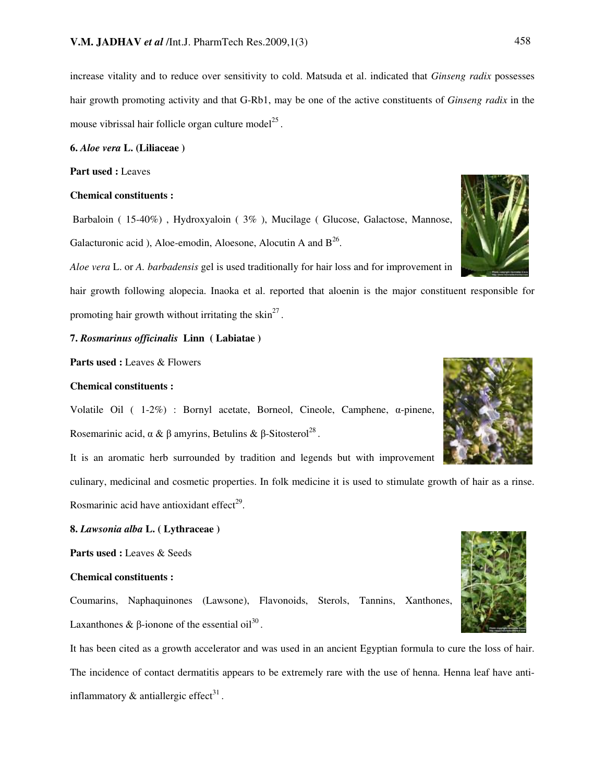increase vitality and to reduce over sensitivity to cold. Matsuda et al. indicated that Ginseng radix possesses hair growth promoting activity and that G-Rb1, may be one of the active constituents of *Ginseng radix* in the mouse vibrissal hair follicle organ culture model $^{25}$ .

6. Aloe vera L. (Liliaceae )

Part used : Leaves

#### Chemical constituents :

 Barbaloin ( 15-40%) , Hydroxyaloin ( 3% ), Mucilage ( Glucose, Galactose, Mannose, Galacturonic acid), Aloe-emodin, Aloesone, Alocutin A and  $B^{26}$ .

Aloe vera L. or A. barbadensis gel is used traditionally for hair loss and for improvement in

hair growth following alopecia. Inaoka et al. reported that aloenin is the major constituent responsible for promoting hair growth without irritating the skin<sup>27</sup>.

## 7. Rosmarinus officinalis Linn ( Labiatae )

Parts used : Leaves & Flowers

#### Chemical constituents :

Volatile Oil  $(1-2\%)$  : Bornyl acetate, Borneol, Cineole, Camphene,  $\alpha$ -pinene, Rosemarinic acid,  $\alpha \& \beta$  amyrins, Betulins  $\& \beta$ -Sitosterol<sup>28</sup>.

It is an aromatic herb surrounded by tradition and legends but with improvement

culinary, medicinal and cosmetic properties. In folk medicine it is used to stimulate growth of hair as a rinse. Rosmarinic acid have antioxidant effect $^{29}$ .

#### 8. Lawsonia alba L. ( Lythraceae )

Parts used : Leaves & Seeds

#### Chemical constituents :

Coumarins, Naphaquinones (Lawsone), Flavonoids, Sterols, Tannins, Xanthones, Laxanthones &  $\beta$ -ionone of the essential oil<sup>30</sup>.

It has been cited as a growth accelerator and was used in an ancient Egyptian formula to cure the loss of hair. The incidence of contact dermatitis appears to be extremely rare with the use of henna. Henna leaf have antiinflammatory  $\&$  antiallergic effect<sup>31</sup>.





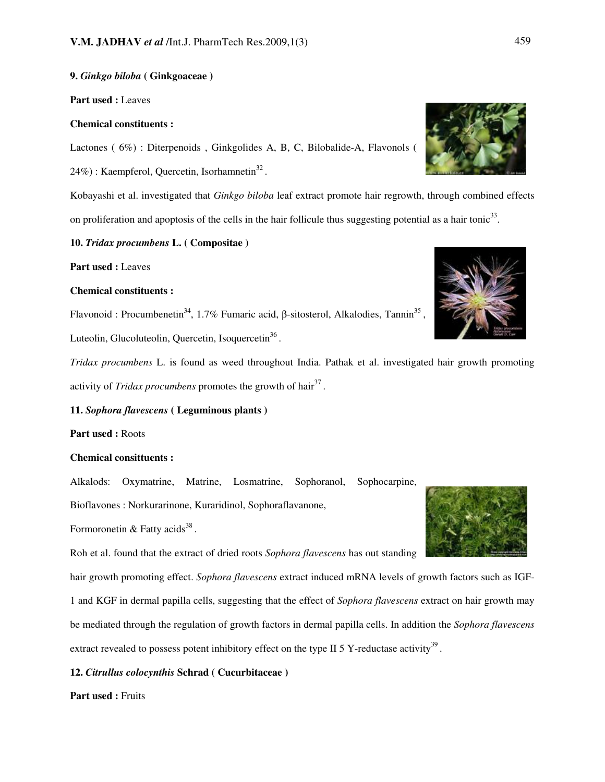# 9. Ginkgo biloba ( Ginkgoaceae )

Part used : Leaves

#### Chemical constituents :

Lactones ( 6%) : Diterpenoids , Ginkgolides A, B, C, Bilobalide-A, Flavonols ( 24%) : Kaempferol, Quercetin, Isorhamnetin $^{32}$ .

Kobayashi et al. investigated that Ginkgo biloba leaf extract promote hair regrowth, through combined effects on proliferation and apoptosis of the cells in the hair follicule thus suggesting potential as a hair tonic<sup>33</sup>.

#### 10. Tridax procumbens L. ( Compositae )

Part used : Leaves

#### Chemical constituents :

Flavonoid : Procumbenetin<sup>34</sup>, 1.7% Fumaric acid,  $\beta$ -sitosterol, Alkalodies, Tannin<sup>35</sup>, Luteolin, Glucoluteolin, Quercetin, Isoquercetin<sup>36</sup>.

Tridax procumbens L. is found as weed throughout India. Pathak et al. investigated hair growth promoting activity of *Tridax procumbens* promotes the growth of hair<sup>37</sup>.

### 11. Sophora flavescens ( Leguminous plants )

Part used : Roots

### Chemical consittuents :

Alkalods: Oxymatrine, Matrine, Losmatrine, Sophoranol, Sophocarpine, Bioflavones : Norkurarinone, Kuraridinol, Sophoraflavanone,

Formoronetin & Fatty acids<sup>38</sup>.

Roh et al. found that the extract of dried roots Sophora flavescens has out standing

hair growth promoting effect. Sophora flavescens extract induced mRNA levels of growth factors such as IGF-1 and KGF in dermal papilla cells, suggesting that the effect of Sophora flavescens extract on hair growth may be mediated through the regulation of growth factors in dermal papilla cells. In addition the Sophora flavescens extract revealed to possess potent inhibitory effect on the type II 5 Y-reductase activity<sup>39</sup>.

### 12. Citrullus colocynthis Schrad ( Cucurbitaceae )

Part used : Fruits





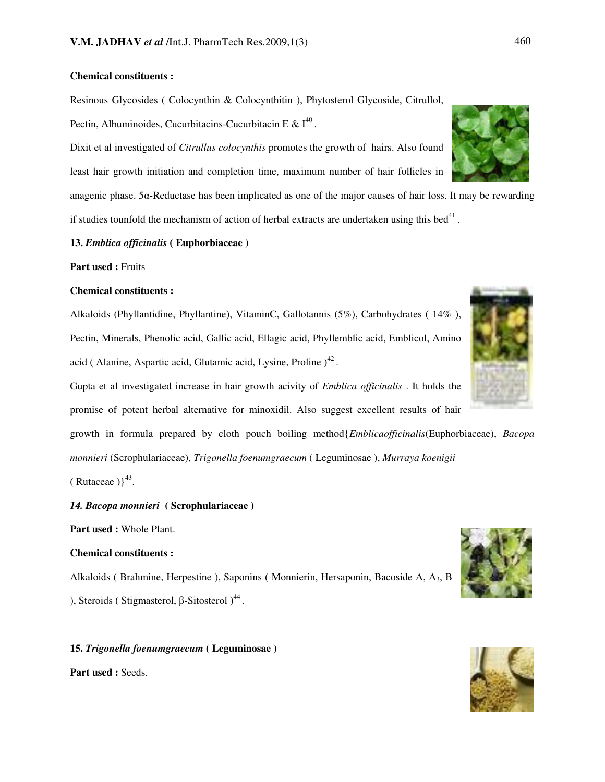## Chemical constituents :

Resinous Glycosides ( Colocynthin & Colocynthitin ), Phytosterol Glycoside, Citrullol, Pectin, Albuminoides, Cucurbitacins-Cucurbitacin E &  $I^{40}$ .

Dixit et al investigated of Citrullus colocynthis promotes the growth of hairs. Also found least hair growth initiation and completion time, maximum number of hair follicles in

anagenic phase.  $5\alpha$ -Reductase has been implicated as one of the major causes of hair loss. It may be rewarding if studies tounfold the mechanism of action of herbal extracts are undertaken using this bed<sup>41</sup>.

#### 13. Emblica officinalis ( Euphorbiaceae )

Part used : Fruits

#### Chemical constituents :

Alkaloids (Phyllantidine, Phyllantine), VitaminC, Gallotannis (5%), Carbohydrates ( 14% ), Pectin, Minerals, Phenolic acid, Gallic acid, Ellagic acid, Phyllemblic acid, Emblicol, Amino acid ( Alanine, Aspartic acid, Glutamic acid, Lysine, Proline  $)^{42}$ .

Gupta et al investigated increase in hair growth acivity of *Emblica officinalis*. It holds the promise of potent herbal alternative for minoxidil. Also suggest excellent results of hair

growth in formula prepared by cloth pouch boiling method{Emblicaofficinalis(Euphorbiaceae), Bacopa monnieri (Scrophulariaceae), Trigonella foenumgraecum ( Leguminosae ), Murraya koenigii

 $(Rutaceae)$ <sup>43</sup>.

14. Bacopa monnieri ( Scrophulariaceae )

Part used : Whole Plant.

# Chemical constituents :

Alkaloids ( Brahmine, Herpestine ), Saponins ( Monnierin, Hersaponin, Bacoside A, A3, B ), Steroids (Stigmasterol,  $\beta$ -Sitosterol)<sup>44</sup>.

#### 15. Trigonella foenumgraecum ( Leguminosae )

Part used : Seeds.







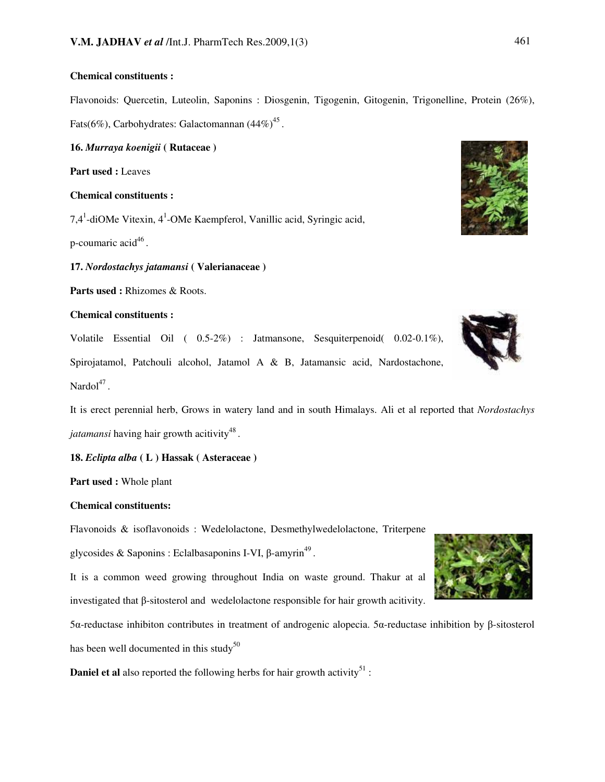# Chemical constituents :

Flavonoids: Quercetin, Luteolin, Saponins : Diosgenin, Tigogenin, Gitogenin, Trigonelline, Protein (26%), Fats(6%), Carbohydrates: Galactomannan  $(44\%)^{45}$ .

16. Murraya koenigii ( Rutaceae )

Part used : Leaves

#### Chemical constituents :

7,4<sup>1</sup>-diOMe Vitexin, 4<sup>1</sup>-OMe Kaempferol, Vanillic acid, Syringic acid,

p-coumaric acid<sup>46</sup>.

17. Nordostachys jatamansi ( Valerianaceae )

Parts used : Rhizomes & Roots.

#### Chemical constituents :

Volatile Essential Oil ( 0.5-2%) : Jatmansone, Sesquiterpenoid( 0.02-0.1%), Spirojatamol, Patchouli alcohol, Jatamol A & B, Jatamansic acid, Nardostachone, Nardol $^{47}$ .

It is erect perennial herb, Grows in watery land and in south Himalays. Ali et al reported that Nordostachys jatamansi having hair growth acitivity<sup>48</sup>.

18. Eclipta alba ( L ) Hassak ( Asteraceae )

Part used : Whole plant

#### Chemical constituents:

Flavonoids & isoflavonoids : Wedelolactone, Desmethylwedelolactone, Triterpene

glycosides & Saponins : Eclalbasaponins I-VI,  $\beta$ -amyrin<sup>49</sup>.

It is a common weed growing throughout India on waste ground. Thakur at al investigated that  $\beta$ -sitosterol and wedelolactone responsible for hair growth acitivity.

 $5\alpha$ -reductase inhibiton contributes in treatment of androgenic alopecia.  $5\alpha$ -reductase inhibition by  $\beta$ -sitosterol has been well documented in this study<sup>50</sup>

**Daniel et al** also reported the following herbs for hair growth activity<sup>51</sup>:





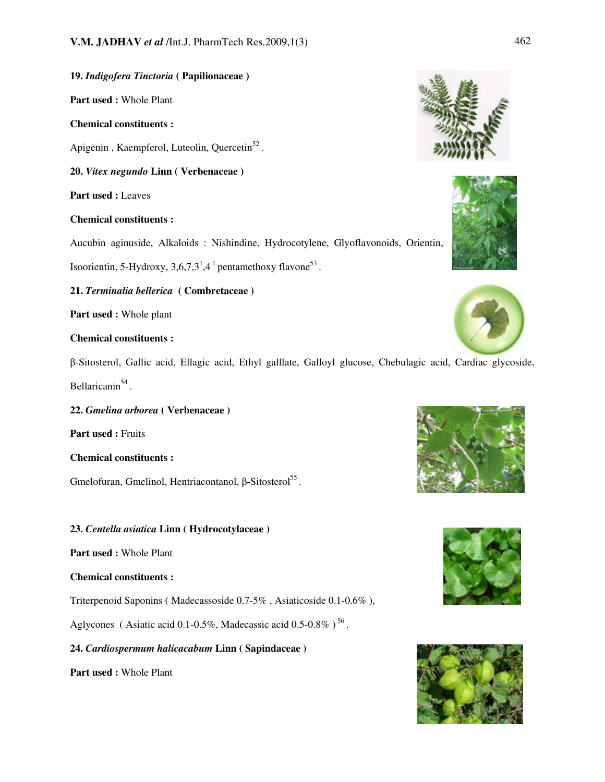# 19. Indigofera Tinctoria ( Papilionaceae )

Part used : Whole Plant

# Chemical constituents :

Apigenin, Kaempferol, Luteolin, Quercetin<sup>52</sup>.

20. Vitex negundo Linn ( Verbenaceae )

Part used : Leaves

# Chemical constituents :

Aucubin aginuside, Alkaloids : Nishindine, Hydrocotylene, Glyoflavonoids, Orientin,

Isoorientin, 5-Hydroxy,  $3,6,7,3^1,4^1$  pentamethoxy flavone<sup>53</sup>.

21. Terminalia bellerica ( Combretaceae )

Part used : Whole plant

# Chemical constituents :

-Sitosterol, Gallic acid, Ellagic acid, Ethyl galllate, Galloyl glucose, Chebulagic acid, Cardiac glycoside, Bellaricanin<sup>54</sup>.

22. Gmelina arborea ( Verbenaceae )

Part used : Fruits

Chemical constituents :

 $G$ melofuran, Gmelinol, Hentriacontanol,  $\beta$ -Sitosterol<sup>55</sup>.

# 23. Centella asiatica Linn ( Hydrocotylaceae )

Part used : Whole Plant

# Chemical constituents :

Triterpenoid Saponins ( Madecassoside 0.7-5% , Asiaticoside 0.1-0.6% ),

Aglycones (Asiatic acid 0.1-0.5%, Madecassic acid 0.5-0.8%)<sup>56</sup>.

# 24. Cardiospermum halicacabum Linn ( Sapindaceae )

Part used : Whole Plant











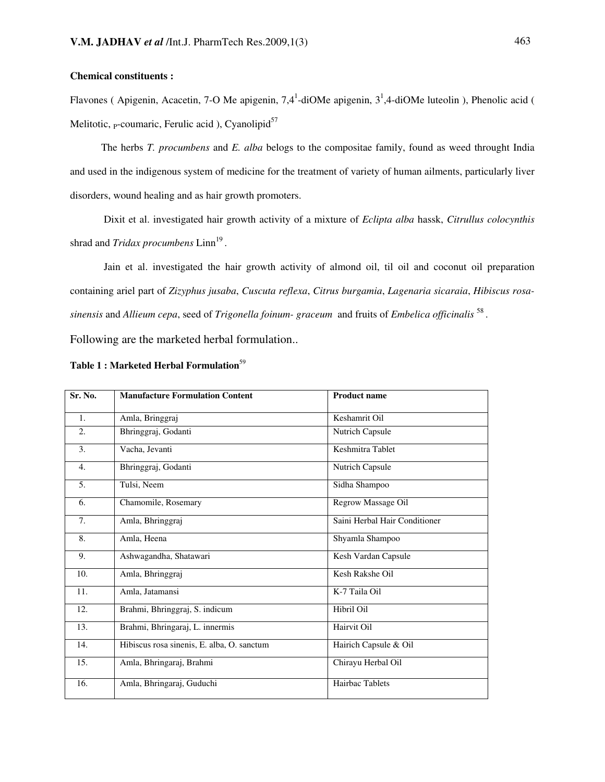# Chemical constituents :

Flavones (Apigenin, Acacetin, 7-O Me apigenin, 7,4<sup>1</sup>-diOMe apigenin,  $3^1$ ,4-diOMe luteolin), Phenolic acid ( Melitotic,  $_{P}$ -coumaric, Ferulic acid ), Cyanolipid<sup>57</sup>

The herbs T. procumbens and E. alba belogs to the compositae family, found as weed throught India and used in the indigenous system of medicine for the treatment of variety of human ailments, particularly liver disorders, wound healing and as hair growth promoters.

Dixit et al. investigated hair growth activity of a mixture of Eclipta alba hassk, Citrullus colocynthis shrad and  $Tridx$  procumbens  $Linn^{19}$ .

 Jain et al. investigated the hair growth activity of almond oil, til oil and coconut oil preparation containing ariel part of Zizyphus jusaba, Cuscuta reflexa, Citrus burgamia, Lagenaria sicaraia, Hibiscus rosasinensis and Allieum cepa, seed of Trigonella foinum- graceum and fruits of Embelica officinalis  $^{58}$  .

Following are the marketed herbal formulation..

| Sr. No. | <b>Manufacture Formulation Content</b>     | <b>Product name</b>           |
|---------|--------------------------------------------|-------------------------------|
| 1.      | Amla, Bringgraj                            | Keshamrit Oil                 |
| 2.      | Bhringgraj, Godanti                        | Nutrich Capsule               |
| 3.      | Vacha, Jevanti                             | Keshmitra Tablet              |
| 4.      | Bhringgraj, Godanti                        | Nutrich Capsule               |
| 5.      | Tulsi, Neem                                | Sidha Shampoo                 |
| 6.      | Chamomile, Rosemary                        | Regrow Massage Oil            |
| 7.      | Amla, Bhringgraj                           | Saini Herbal Hair Conditioner |
| 8.      | Amla, Heena                                | Shyamla Shampoo               |
| 9.      | Ashwagandha, Shatawari                     | Kesh Vardan Capsule           |
| 10.     | Amla, Bhringgraj                           | Kesh Rakshe Oil               |
| 11.     | Amla, Jatamansi                            | K-7 Taila Oil                 |
| 12.     | Brahmi, Bhringgraj, S. indicum             | Hibril Oil                    |
| 13.     | Brahmi, Bhringaraj, L. innermis            | Hairvit Oil                   |
| 14.     | Hibiscus rosa sinenis, E. alba, O. sanctum | Hairich Capsule & Oil         |
| 15.     | Amla, Bhringaraj, Brahmi                   | Chirayu Herbal Oil            |
| 16.     | Amla, Bhringaraj, Guduchi                  | Hairbac Tablets               |

# Table 1 : Marketed Herbal Formulation<sup>59</sup>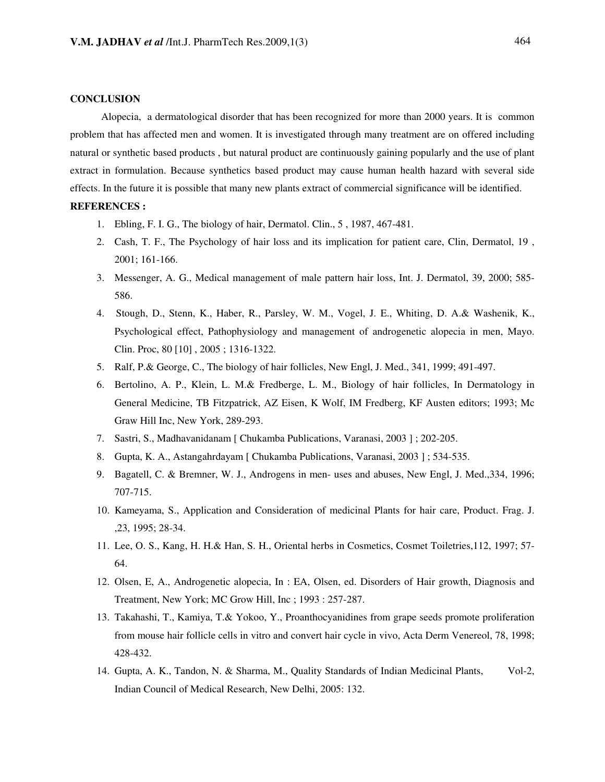#### **CONCLUSION**

 Alopecia, a dermatological disorder that has been recognized for more than 2000 years. It is common problem that has affected men and women. It is investigated through many treatment are on offered including natural or synthetic based products , but natural product are continuously gaining popularly and the use of plant extract in formulation. Because synthetics based product may cause human health hazard with several side effects. In the future it is possible that many new plants extract of commercial significance will be identified.

#### REFERENCES :

- 1. Ebling, F. I. G., The biology of hair, Dermatol. Clin., 5 , 1987, 467-481.
- 2. Cash, T. F., The Psychology of hair loss and its implication for patient care, Clin, Dermatol, 19 , 2001; 161-166.
- 3. Messenger, A. G., Medical management of male pattern hair loss, Int. J. Dermatol, 39, 2000; 585- 586.
- 4. Stough, D., Stenn, K., Haber, R., Parsley, W. M., Vogel, J. E., Whiting, D. A.& Washenik, K., Psychological effect, Pathophysiology and management of androgenetic alopecia in men, Mayo. Clin. Proc, 80 [10] , 2005 ; 1316-1322.
- 5. Ralf, P.& George, C., The biology of hair follicles, New Engl, J. Med., 341, 1999; 491-497.
- 6. Bertolino, A. P., Klein, L. M.& Fredberge, L. M., Biology of hair follicles, In Dermatology in General Medicine, TB Fitzpatrick, AZ Eisen, K Wolf, IM Fredberg, KF Austen editors; 1993; Mc Graw Hill Inc, New York, 289-293.
- 7. Sastri, S., Madhavanidanam [ Chukamba Publications, Varanasi, 2003 ] ; 202-205.
- 8. Gupta, K. A., Astangahrdayam [ Chukamba Publications, Varanasi, 2003 ] ; 534-535.
- 9. Bagatell, C. & Bremner, W. J., Androgens in men- uses and abuses, New Engl, J. Med.,334, 1996; 707-715.
- 10. Kameyama, S., Application and Consideration of medicinal Plants for hair care, Product. Frag. J. ,23, 1995; 28-34.
- 11. Lee, O. S., Kang, H. H.& Han, S. H., Oriental herbs in Cosmetics, Cosmet Toiletries,112, 1997; 57- 64.
- 12. Olsen, E, A., Androgenetic alopecia, In : EA, Olsen, ed. Disorders of Hair growth, Diagnosis and Treatment, New York; MC Grow Hill, Inc ; 1993 : 257-287.
- 13. Takahashi, T., Kamiya, T.& Yokoo, Y., Proanthocyanidines from grape seeds promote proliferation from mouse hair follicle cells in vitro and convert hair cycle in vivo, Acta Derm Venereol, 78, 1998; 428-432.
- 14. Gupta, A. K., Tandon, N. & Sharma, M., Quality Standards of Indian Medicinal Plants, Vol-2, Indian Council of Medical Research, New Delhi, 2005: 132.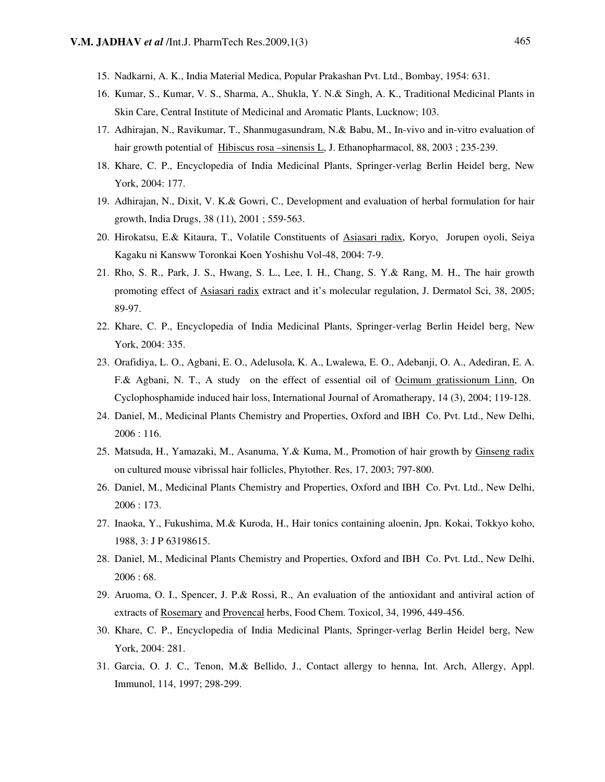- 15. Nadkarni, A. K., India Material Medica, Popular Prakashan Pvt. Ltd., Bombay, 1954: 631.
- 16. Kumar, S., Kumar, V. S., Sharma, A., Shukla, Y. N.& Singh, A. K., Traditional Medicinal Plants in Skin Care, Central Institute of Medicinal and Aromatic Plants, Lucknow; 103.
- 17. Adhirajan, N., Ravikumar, T., Shanmugasundram, N.& Babu, M., In-vivo and in-vitro evaluation of hair growth potential of Hibiscus rosa –sinensis L, J. Ethanopharmacol, 88, 2003 ; 235-239.
- 18. Khare, C. P., Encyclopedia of India Medicinal Plants, Springer-verlag Berlin Heidel berg, New York, 2004: 177.
- 19. Adhirajan, N., Dixit, V. K.& Gowri, C., Development and evaluation of herbal formulation for hair growth, India Drugs, 38 (11), 2001 ; 559-563.
- 20. Hirokatsu, E.& Kitaura, T., Volatile Constituents of Asiasari radix, Koryo, Jorupen oyoli, Seiya Kagaku ni Kansww Toronkai Koen Yoshishu Vol-48, 2004: 7-9.
- 21. Rho, S. R., Park, J. S., Hwang, S. L., Lee, I. H., Chang, S. Y.& Rang, M. H., The hair growth promoting effect of Asiasari radix extract and it's molecular regulation, J. Dermatol Sci, 38, 2005; 89-97.
- 22. Khare, C. P., Encyclopedia of India Medicinal Plants, Springer-verlag Berlin Heidel berg, New York, 2004: 335.
- 23. Orafidiya, L. O., Agbani, E. O., Adelusola, K. A., Lwalewa, E. O., Adebanji, O. A., Adediran, E. A. F.& Agbani, N. T., A study on the effect of essential oil of Ocimum gratissionum Linn, On Cyclophosphamide induced hair loss, International Journal of Aromatherapy, 14 (3), 2004; 119-128.
- 24. Daniel, M., Medicinal Plants Chemistry and Properties, Oxford and IBH Co. Pvt. Ltd., New Delhi, 2006 : 116.
- 25. Matsuda, H., Yamazaki, M., Asanuma, Y.& Kuma, M., Promotion of hair growth by Ginseng radix on cultured mouse vibrissal hair follicles, Phytother. Res, 17, 2003; 797-800.
- 26. Daniel, M., Medicinal Plants Chemistry and Properties, Oxford and IBH Co. Pvt. Ltd., New Delhi, 2006 : 173.
- 27. Inaoka, Y., Fukushima, M.& Kuroda, H., Hair tonics containing aloenin, Jpn. Kokai, Tokkyo koho, 1988, 3: J P 63198615.
- 28. Daniel, M., Medicinal Plants Chemistry and Properties, Oxford and IBH Co. Pvt. Ltd., New Delhi, 2006 : 68.
- 29. Aruoma, O. I., Spencer, J. P.& Rossi, R., An evaluation of the antioxidant and antiviral action of extracts of Rosemary and Provencal herbs, Food Chem. Toxicol, 34, 1996, 449-456.
- 30. Khare, C. P., Encyclopedia of India Medicinal Plants, Springer-verlag Berlin Heidel berg, New York, 2004: 281.
- 31. Garcia, O. J. C., Tenon, M.& Bellido, J., Contact allergy to henna, Int. Arch, Allergy, Appl. Immunol, 114, 1997; 298-299.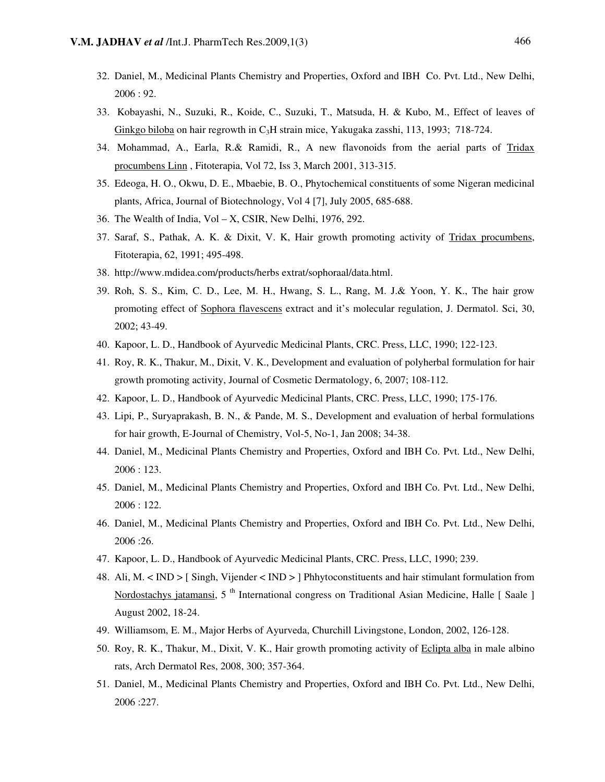- 32. Daniel, M., Medicinal Plants Chemistry and Properties, Oxford and IBH Co. Pvt. Ltd., New Delhi, 2006 : 92.
- 33. Kobayashi, N., Suzuki, R., Koide, C., Suzuki, T., Matsuda, H. & Kubo, M., Effect of leaves of Ginkgo biloba on hair regrowth in C3H strain mice, Yakugaka zasshi, 113, 1993; 718-724.
- 34. Mohammad, A., Earla, R.& Ramidi, R., A new flavonoids from the aerial parts of Tridax procumbens Linn , Fitoterapia, Vol 72, Iss 3, March 2001, 313-315.
- 35. Edeoga, H. O., Okwu, D. E., Mbaebie, B. O., Phytochemical constituents of some Nigeran medicinal plants, Africa, Journal of Biotechnology, Vol 4 [7], July 2005, 685-688.
- 36. The Wealth of India, Vol X, CSIR, New Delhi, 1976, 292.
- 37. Saraf, S., Pathak, A. K. & Dixit, V. K, Hair growth promoting activity of Tridax procumbens, Fitoterapia, 62, 1991; 495-498.
- 38. http://www.mdidea.com/products/herbs extrat/sophoraal/data.html.
- 39. Roh, S. S., Kim, C. D., Lee, M. H., Hwang, S. L., Rang, M. J.& Yoon, Y. K., The hair grow promoting effect of Sophora flavescens extract and it's molecular regulation, J. Dermatol. Sci, 30, 2002; 43-49.
- 40. Kapoor, L. D., Handbook of Ayurvedic Medicinal Plants, CRC. Press, LLC, 1990; 122-123.
- 41. Roy, R. K., Thakur, M., Dixit, V. K., Development and evaluation of polyherbal formulation for hair growth promoting activity, Journal of Cosmetic Dermatology, 6, 2007; 108-112.
- 42. Kapoor, L. D., Handbook of Ayurvedic Medicinal Plants, CRC. Press, LLC, 1990; 175-176.
- 43. Lipi, P., Suryaprakash, B. N., & Pande, M. S., Development and evaluation of herbal formulations for hair growth, E-Journal of Chemistry, Vol-5, No-1, Jan 2008; 34-38.
- 44. Daniel, M., Medicinal Plants Chemistry and Properties, Oxford and IBH Co. Pvt. Ltd., New Delhi, 2006 : 123.
- 45. Daniel, M., Medicinal Plants Chemistry and Properties, Oxford and IBH Co. Pvt. Ltd., New Delhi, 2006 : 122.
- 46. Daniel, M., Medicinal Plants Chemistry and Properties, Oxford and IBH Co. Pvt. Ltd., New Delhi, 2006 :26.
- 47. Kapoor, L. D., Handbook of Ayurvedic Medicinal Plants, CRC. Press, LLC, 1990; 239.
- 48. Ali, M. < IND > [ Singh, Vijender < IND > ] Phhytoconstituents and hair stimulant formulation from Nordostachys jatamansi, 5<sup>th</sup> International congress on Traditional Asian Medicine, Halle [ Saale ] August 2002, 18-24.
- 49. Williamsom, E. M., Major Herbs of Ayurveda, Churchill Livingstone, London, 2002, 126-128.
- 50. Roy, R. K., Thakur, M., Dixit, V. K., Hair growth promoting activity of Eclipta alba in male albino rats, Arch Dermatol Res, 2008, 300; 357-364.
- 51. Daniel, M., Medicinal Plants Chemistry and Properties, Oxford and IBH Co. Pvt. Ltd., New Delhi, 2006 :227.